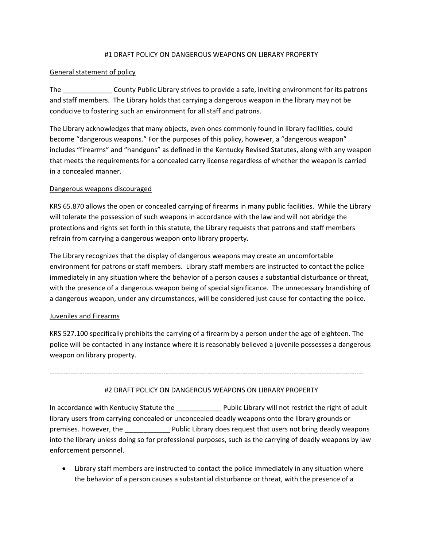# #1 DRAFT POLICY ON DANGEROUS WEAPONS ON LIBRARY PROPERTY

# General statement of policy

The County Public Library strives to provide a safe, inviting environment for its patrons and staff members. The Library holds that carrying a dangerous weapon in the library may not be conducive to fostering such an environment for all staff and patrons.

The Library acknowledges that many objects, even ones commonly found in library facilities, could become "dangerous weapons." For the purposes of this policy, however, a "dangerous weapon" includes "firearms" and "handguns" as defined in the Kentucky Revised Statutes, along with any weapon that meets the requirements for a concealed carry license regardless of whether the weapon is carried in a concealed manner.

# Dangerous weapons discouraged

KRS 65.870 allows the open or concealed carrying of firearms in many public facilities. While the Library will tolerate the possession of such weapons in accordance with the law and will not abridge the protections and rights set forth in this statute, the Library requests that patrons and staff members refrain from carrying a dangerous weapon onto library property.

The Library recognizes that the display of dangerous weapons may create an uncomfortable environment for patrons or staff members. Library staff members are instructed to contact the police immediately in any situation where the behavior of a person causes a substantial disturbance or threat, with the presence of a dangerous weapon being of special significance. The unnecessary brandishing of a dangerous weapon, under any circumstances, will be considered just cause for contacting the police.

# Juveniles and Firearms

KRS 527.100 specifically prohibits the carrying of a firearm by a person under the age of eighteen. The police will be contacted in any instance where it is reasonably believed a juvenile possesses a dangerous weapon on library property.

---------------------------------------------------------------------------------------------------------------------------------------

# #2 DRAFT POLICY ON DANGEROUS WEAPONS ON LIBRARY PROPERTY

In accordance with Kentucky Statute the \_\_\_\_\_\_\_\_\_\_\_\_ Public Library will not restrict the right of adult library users from carrying concealed or unconcealed deadly weapons onto the library grounds or premises. However, the \_\_\_\_\_\_\_\_\_\_\_\_ Public Library does request that users not bring deadly weapons into the library unless doing so for professional purposes, such as the carrying of deadly weapons by law enforcement personnel.

• Library staff members are instructed to contact the police immediately in any situation where the behavior of a person causes a substantial disturbance or threat, with the presence of a